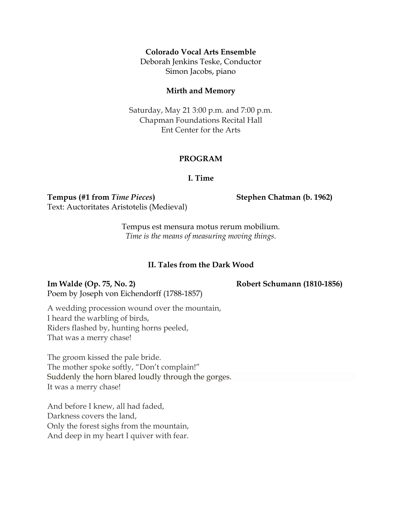## **Colorado Vocal Arts Ensemble**

Deborah Jenkins Teske, Conductor Simon Jacobs, piano

### **Mirth and Memory**

Saturday, May 21 3:00 p.m. and 7:00 p.m. Chapman Foundations Recital Hall Ent Center for the Arts

## **PROGRAM**

## **I. Time**

**Tempus (#1 from** *Time Pieces***) Stephen Chatman (b. 1962)** Text: Auctoritates Aristotelis (Medieval)

Tempus est mensura motus rerum mobilium. *Time is the means of measuring moving things.*

## **II. Tales from the Dark Wood**

**Im Walde (Op. 75, No. 2) Robert Schumann (1810-1856)** Poem by Joseph von Eichendorff (1788-1857)

A wedding procession wound over the mountain, I heard the warbling of birds, Riders flashed by, hunting horns peeled, That was a merry chase!

The groom kissed the pale bride. The mother spoke softly, "Don't complain!" Suddenly the horn blared loudly through the gorges. It was a merry chase!

And before I knew, all had faded, Darkness covers the land, Only the forest sighs from the mountain, And deep in my heart I quiver with fear.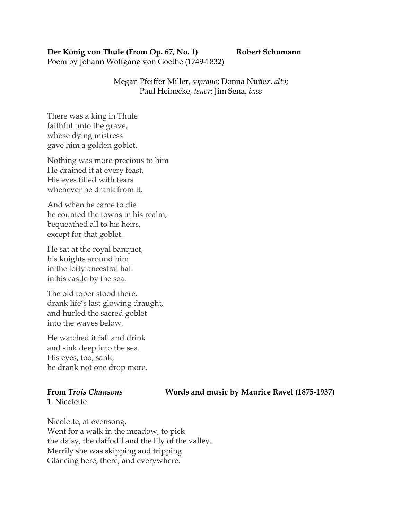# **Der König von Thule (From Op. 67, No. 1) Robert Schumann**

Poem by Johann Wolfgang von Goethe (1749-1832)

Megan Pfeiffer Miller, *soprano*; Donna Nuñez, *alto*; Paul Heinecke, *tenor*; Jim Sena, *bass*

There was a king in Thule faithful unto the grave, whose dying mistress gave him a golden goblet.

Nothing was more precious to him He drained it at every feast. His eyes filled with tears whenever he drank from it.

And when he came to die he counted the towns in his realm, bequeathed all to his heirs, except for that goblet.

He sat at the royal banquet, his knights around him in the lofty ancestral hall in his castle by the sea.

The old toper stood there, drank life's last glowing draught, and hurled the sacred goblet into the waves below.

He watched it fall and drink and sink deep into the sea. His eyes, too, sank; he drank not one drop more.

1. Nicolette

**From** *Trois Chansons* **Words and music by Maurice Ravel (1875-1937)**

Nicolette, at evensong, Went for a walk in the meadow, to pick the daisy, the daffodil and the lily of the valley. Merrily she was skipping and tripping Glancing here, there, and everywhere.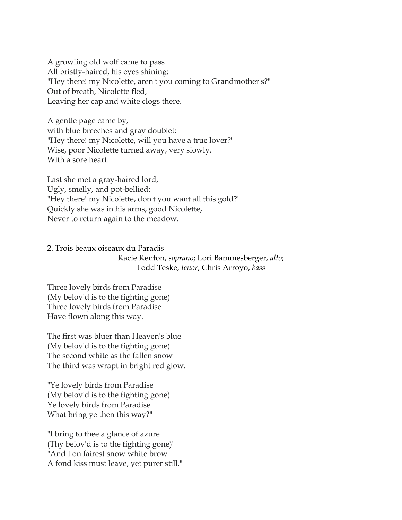A growling old wolf came to pass All bristly-haired, his eyes shining: "Hey there! my Nicolette, aren't you coming to Grandmother's?" Out of breath, Nicolette fled, Leaving her cap and white clogs there.

A gentle page came by, with blue breeches and gray doublet: "Hey there! my Nicolette, will you have a true lover?" Wise, poor Nicolette turned away, very slowly, With a sore heart.

Last she met a gray-haired lord, Ugly, smelly, and pot-bellied: "Hey there! my Nicolette, don't you want all this gold?" Quickly she was in his arms, good Nicolette, Never to return again to the meadow.

2. Trois beaux oiseaux du Paradis Kacie Kenton, *soprano*; Lori Bammesberger, *alto*; Todd Teske, *tenor*; Chris Arroyo, *bass*

Three lovely birds from Paradise (My belov'd is to the fighting gone) Three lovely birds from Paradise Have flown along this way.

The first was bluer than Heaven's blue (My belov'd is to the fighting gone) The second white as the fallen snow The third was wrapt in bright red glow.

"Ye lovely birds from Paradise (My belov'd is to the fighting gone) Ye lovely birds from Paradise What bring ye then this way?"

"I bring to thee a glance of azure (Thy belov'd is to the fighting gone)" "And I on fairest snow white brow A fond kiss must leave, yet purer still."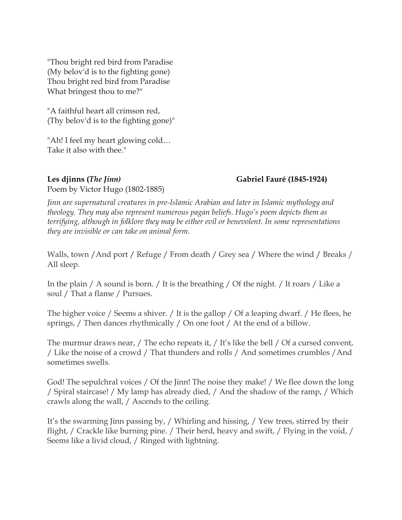"Thou bright red bird from Paradise (My belov'd is to the fighting gone) Thou bright red bird from Paradise What bringest thou to me?"

"A faithful heart all crimson red, (Thy belov'd is to the fighting gone)"

"Ah! I feel my heart glowing cold… Take it also with thee."

**Les djinns (***The Jinn)* **Gabriel Fauré (1845-1924)**

Poem by Victor Hugo (1802-1885)

*Jinn are supernatural creatures in pre-Islamic Arabian and later in Islamic mythology and theology. They may also represent numerous pagan beliefs. Hugo's poem depicts them as terrifying, although in folklore they may be either evil or benevolent. In some representations they are invisible or can take on animal form.*

Walls, town /And port / Refuge / From death / Grey sea / Where the wind / Breaks / All sleep.

In the plain / A sound is born. / It is the breathing / Of the night. / It roars / Like a soul / That a flame / Pursues.

The higher voice / Seems a shiver. / It is the gallop / Of a leaping dwarf. / He flees, he springs, / Then dances rhythmically / On one foot / At the end of a billow.

The murmur draws near, / The echo repeats it, / It's like the bell / Of a cursed convent, / Like the noise of a crowd / That thunders and rolls / And sometimes crumbles /And sometimes swells.

God! The sepulchral voices / Of the Jinn! The noise they make! / We flee down the long / Spiral staircase! / My lamp has already died, / And the shadow of the ramp, / Which crawls along the wall, / Ascends to the ceiling.

It's the swarming Jinn passing by, / Whirling and hissing, / Yew trees, stirred by their flight, / Crackle like burning pine. / Their herd, heavy and swift, / Flying in the void, / Seems like a livid cloud, / Ringed with lightning.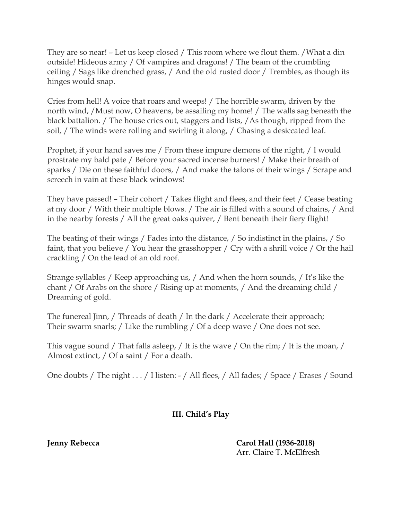They are so near! – Let us keep closed / This room where we flout them. /What a din outside! Hideous army / Of vampires and dragons! / The beam of the crumbling ceiling / Sags like drenched grass, / And the old rusted door / Trembles, as though its hinges would snap.

Cries from hell! A voice that roars and weeps! / The horrible swarm, driven by the north wind, /Must now, O heavens, be assailing my home! / The walls sag beneath the black battalion. / The house cries out, staggers and lists, /As though, ripped from the soil, / The winds were rolling and swirling it along, / Chasing a desiccated leaf.

Prophet, if your hand saves me / From these impure demons of the night, / I would prostrate my bald pate / Before your sacred incense burners! / Make their breath of sparks / Die on these faithful doors, / And make the talons of their wings / Scrape and screech in vain at these black windows!

They have passed! – Their cohort / Takes flight and flees, and their feet / Cease beating at my door / With their multiple blows. / The air is filled with a sound of chains, / And in the nearby forests / All the great oaks quiver, / Bent beneath their fiery flight!

The beating of their wings / Fades into the distance, / So indistinct in the plains, / So faint, that you believe / You hear the grasshopper / Cry with a shrill voice / Or the hail crackling / On the lead of an old roof.

Strange syllables / Keep approaching us, / And when the horn sounds, / It's like the chant / Of Arabs on the shore / Rising up at moments, / And the dreaming child / Dreaming of gold.

The funereal Jinn, / Threads of death / In the dark / Accelerate their approach; Their swarm snarls; / Like the rumbling / Of a deep wave / One does not see.

This vague sound / That falls asleep, / It is the wave / On the rim; / It is the moan, / Almost extinct, / Of a saint / For a death.

One doubts / The night . . . / I listen: - / All flees, / All fades; / Space / Erases / Sound

# **III. Child's Play**

**Jenny Rebecca Carol Hall (1936-2018)** Arr. Claire T. McElfresh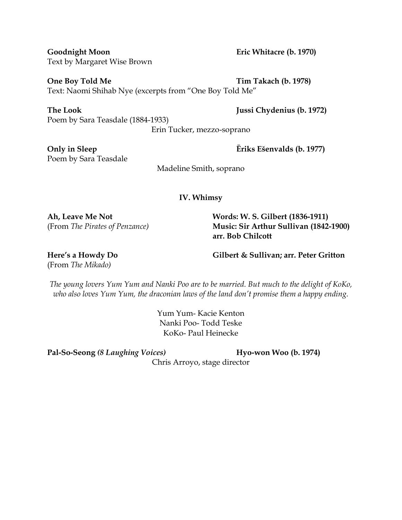**One Boy Told Me Tim Takach (b. 1978)** Text: Naomi Shihab Nye (excerpts from "One Boy Told Me"

**The Look Jussi Chydenius (b. 1972)** Poem by Sara Teasdale (1884-1933)

Erin Tucker, mezzo-soprano

Poem by Sara Teasdale

Madeline Smith, soprano

**IV. Whimsy**

**Ah, Leave Me Not Words: W. S. Gilbert (1836-1911)** (From *The Pirates of Penzance)* **Music: Sir Arthur Sullivan (1842-1900) arr. Bob Chilcott**

(From *The Mikado)*

**Here's a Howdy Do Gilbert & Sullivan; arr. Peter Gritton**

*The young lovers Yum Yum and Nanki Poo are to be married. But much to the delight of KoKo, who also loves Yum Yum, the draconian laws of the land don't promise them a happy ending.*

> Yum Yum- Kacie Kenton Nanki Poo- Todd Teske KoKo- Paul Heinecke

**Pal-So-Seong** *(8 Laughing Voices)* **Hyo-won Woo (b. 1974)**

Chris Arroyo, stage director

**Only in Sleep Ēriks Ešenvalds (b. 1977)**

**Goodnight Moon Eric Whitacre (b. 1970)** Text by Margaret Wise Brown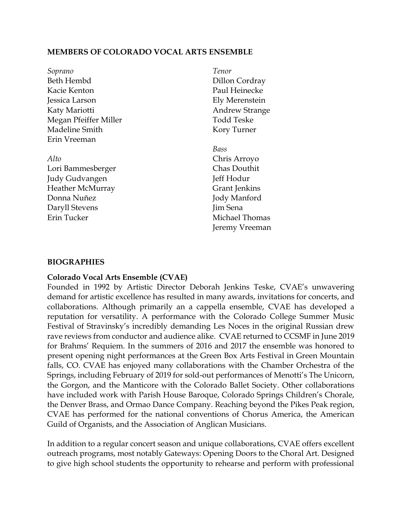## **MEMBERS OF COLORADO VOCAL ARTS ENSEMBLE**

| Soprano                 | Tenor                 |
|-------------------------|-----------------------|
| Beth Hembd              | Dillon Cordray        |
| Kacie Kenton            | Paul Heinecke         |
| Jessica Larson          | Ely Merenstein        |
| Katy Mariotti           | <b>Andrew Strange</b> |
| Megan Pfeiffer Miller   | <b>Todd Teske</b>     |
| Madeline Smith          | Kory Turner           |
| Erin Vreeman            |                       |
|                         | Bass                  |
| Alto                    | Chris Arroyo          |
| Lori Bammesberger       | <b>Chas Douthit</b>   |
| Judy Gudvangen          | Jeff Hodur            |
| <b>Heather McMurray</b> | <b>Grant Jenkins</b>  |
| Donna Nuñez             | Jody Manford          |
| Daryll Stevens          | Jim Sena              |
| Erin Tucker             | Michael Thomas        |
|                         | Jeremy Vreeman        |

## **BIOGRAPHIES**

## **Colorado Vocal Arts Ensemble (CVAE)**

Founded in 1992 by Artistic Director Deborah Jenkins Teske, CVAE's unwavering demand for artistic excellence has resulted in many awards, invitations for concerts, and collaborations. Although primarily an a cappella ensemble, CVAE has developed a reputation for versatility. A performance with the Colorado College Summer Music Festival of Stravinsky's incredibly demanding Les Noces in the original Russian drew rave reviews from conductor and audience alike. CVAE returned to CCSMF in June 2019 for Brahms' Requiem. In the summers of 2016 and 2017 the ensemble was honored to present opening night performances at the Green Box Arts Festival in Green Mountain falls, CO. CVAE has enjoyed many collaborations with the Chamber Orchestra of the Springs, including February of 2019 for sold-out performances of Menotti's The Unicorn, the Gorgon, and the Manticore with the Colorado Ballet Society. Other collaborations have included work with Parish House Baroque, Colorado Springs Children's Chorale, the Denver Brass, and Ormao Dance Company. Reaching beyond the Pikes Peak region, CVAE has performed for the national conventions of Chorus America, the American Guild of Organists, and the Association of Anglican Musicians.

In addition to a regular concert season and unique collaborations, CVAE offers excellent outreach programs, most notably Gateways: Opening Doors to the Choral Art. Designed to give high school students the opportunity to rehearse and perform with professional